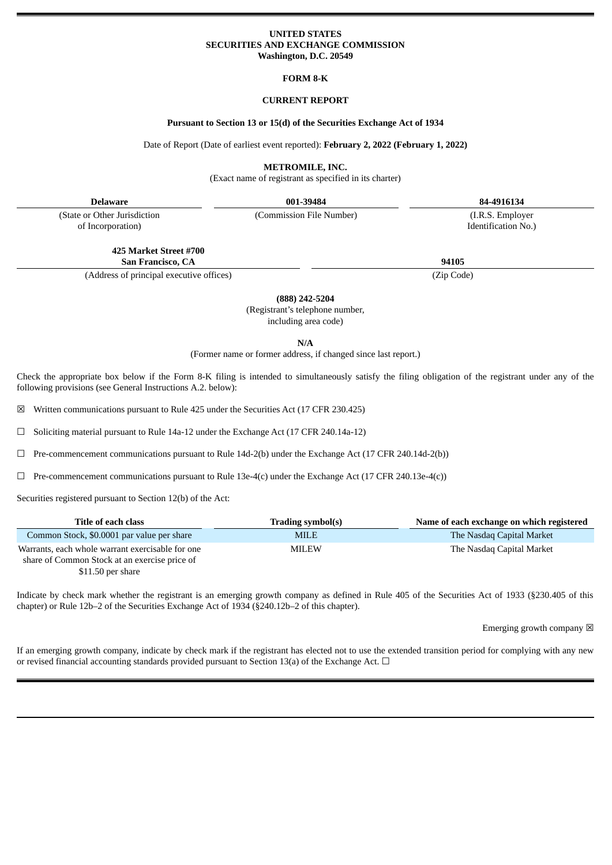# **UNITED STATES SECURITIES AND EXCHANGE COMMISSION Washington, D.C. 20549**

### **FORM 8-K**

# **CURRENT REPORT**

### **Pursuant to Section 13 or 15(d) of the Securities Exchange Act of 1934**

Date of Report (Date of earliest event reported): **February 2, 2022 (February 1, 2022)**

**METROMILE, INC.**

(Exact name of registrant as specified in its charter)

**Delaware 001-39484 84-4916134**

(State or Other Jurisdiction of Incorporation)

(Commission File Number) (I.R.S. Employer

Identification No.)

**425 Market Street #700 San Francisco, CA 94105**

(Address of principal executive offices) (Zip Code)

**(888) 242-5204**

(Registrant's telephone number, including area code)

**N/A**

(Former name or former address, if changed since last report.)

Check the appropriate box below if the Form 8-K filing is intended to simultaneously satisfy the filing obligation of the registrant under any of the following provisions (see General Instructions A.2. below):

☒ Written communications pursuant to Rule 425 under the Securities Act (17 CFR 230.425)

☐ Soliciting material pursuant to Rule 14a-12 under the Exchange Act (17 CFR 240.14a-12)

☐ Pre-commencement communications pursuant to Rule 14d-2(b) under the Exchange Act (17 CFR 240.14d-2(b))

 $\Box$  Pre-commencement communications pursuant to Rule 13e-4(c) under the Exchange Act (17 CFR 240.13e-4(c))

Securities registered pursuant to Section 12(b) of the Act:

| Title of each class                                                                               | Trading symbol(s) | Name of each exchange on which registered |
|---------------------------------------------------------------------------------------------------|-------------------|-------------------------------------------|
| Common Stock, \$0,0001 par value per share                                                        | <b>MILE</b>       | The Nasdag Capital Market                 |
| Warrants, each whole warrant exercisable for one<br>share of Common Stock at an exercise price of | MILEW             | The Nasdag Capital Market                 |
|                                                                                                   |                   |                                           |

\$11.50 per share

Indicate by check mark whether the registrant is an emerging growth company as defined in Rule 405 of the Securities Act of 1933 (§230.405 of this chapter) or Rule 12b–2 of the Securities Exchange Act of 1934 (§240.12b–2 of this chapter).

Emerging growth company  $\boxtimes$ 

If an emerging growth company, indicate by check mark if the registrant has elected not to use the extended transition period for complying with any new or revised financial accounting standards provided pursuant to Section 13(a) of the Exchange Act.  $\Box$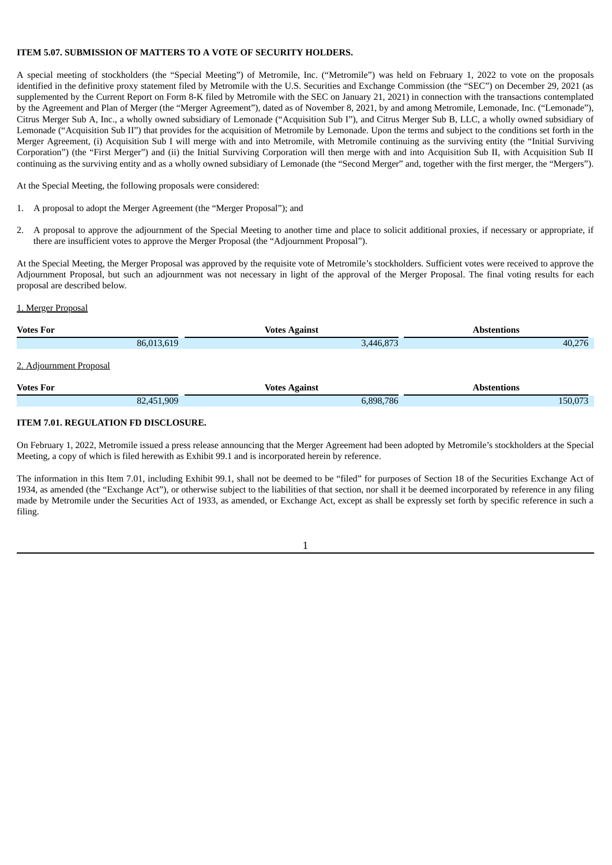# **ITEM 5.07. SUBMISSION OF MATTERS TO A VOTE OF SECURITY HOLDERS.**

A special meeting of stockholders (the "Special Meeting") of Metromile, Inc. ("Metromile") was held on February 1, 2022 to vote on the proposals identified in the definitive proxy statement filed by Metromile with the U.S. Securities and Exchange Commission (the "SEC") on December 29, 2021 (as supplemented by the Current Report on Form 8-K filed by Metromile with the SEC on January 21, 2021) in connection with the transactions contemplated by the Agreement and Plan of Merger (the "Merger Agreement"), dated as of November 8, 2021, by and among Metromile, Lemonade, Inc. ("Lemonade"), Citrus Merger Sub A, Inc., a wholly owned subsidiary of Lemonade ("Acquisition Sub I"), and Citrus Merger Sub B, LLC, a wholly owned subsidiary of Lemonade ("Acquisition Sub II") that provides for the acquisition of Metromile by Lemonade. Upon the terms and subject to the conditions set forth in the Merger Agreement, (i) Acquisition Sub I will merge with and into Metromile, with Metromile continuing as the surviving entity (the "Initial Surviving Corporation") (the "First Merger") and (ii) the Initial Surviving Corporation will then merge with and into Acquisition Sub II, with Acquisition Sub II continuing as the surviving entity and as a wholly owned subsidiary of Lemonade (the "Second Merger" and, together with the first merger, the "Mergers").

At the Special Meeting, the following proposals were considered:

- 1. A proposal to adopt the Merger Agreement (the "Merger Proposal"); and
- 2. A proposal to approve the adjournment of the Special Meeting to another time and place to solicit additional proxies, if necessary or appropriate, if there are insufficient votes to approve the Merger Proposal (the "Adjournment Proposal").

At the Special Meeting, the Merger Proposal was approved by the requisite vote of Metromile's stockholders. Sufficient votes were received to approve the Adjournment Proposal, but such an adjournment was not necessary in light of the approval of the Merger Proposal. The final voting results for each proposal are described below.

### 1. Merger Proposal

| <b>Votes For</b>        |            | <b>Votes Against</b> | <b>Abstentions</b> |
|-------------------------|------------|----------------------|--------------------|
|                         | 86,013,619 | 3,446,873            | 40,276             |
| 2. Adjournment Proposal |            |                      |                    |
| <b>Votes For</b>        |            | <b>Votes Against</b> | <b>Abstentions</b> |
|                         | 82,451,909 | 6,898,786            | 150,073            |

# **ITEM 7.01. REGULATION FD DISCLOSURE.**

On February 1, 2022, Metromile issued a press release announcing that the Merger Agreement had been adopted by Metromile's stockholders at the Special Meeting, a copy of which is filed herewith as Exhibit 99.1 and is incorporated herein by reference.

The information in this Item 7.01, including Exhibit 99.1, shall not be deemed to be "filed" for purposes of Section 18 of the Securities Exchange Act of 1934, as amended (the "Exchange Act"), or otherwise subject to the liabilities of that section, nor shall it be deemed incorporated by reference in any filing made by Metromile under the Securities Act of 1933, as amended, or Exchange Act, except as shall be expressly set forth by specific reference in such a filing.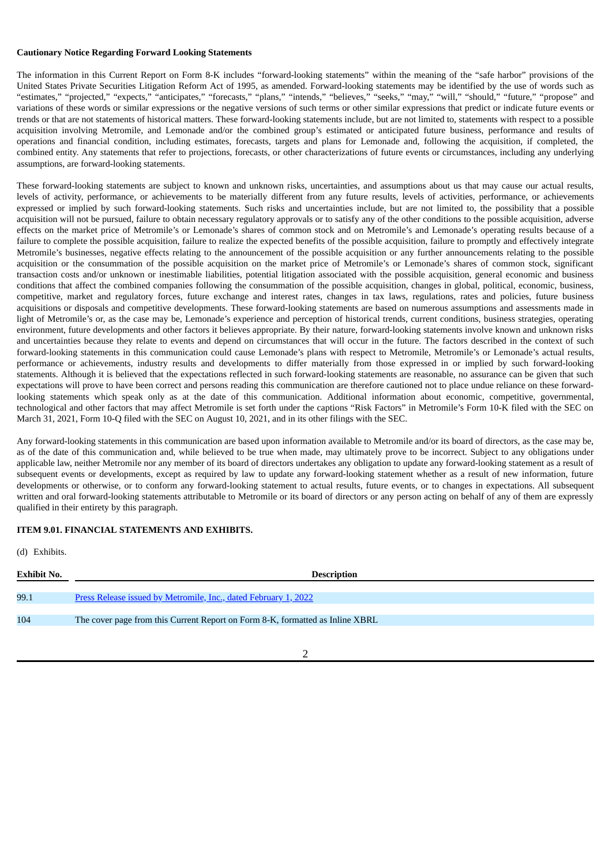### **Cautionary Notice Regarding Forward Looking Statements**

The information in this Current Report on Form 8-K includes "forward-looking statements" within the meaning of the "safe harbor" provisions of the United States Private Securities Litigation Reform Act of 1995, as amended. Forward-looking statements may be identified by the use of words such as "estimates," "projected," "expects," "anticipates," "forecasts," "plans," "intends," "believes," "seeks," "may," "will," "should," "future," "propose" and variations of these words or similar expressions or the negative versions of such terms or other similar expressions that predict or indicate future events or trends or that are not statements of historical matters. These forward-looking statements include, but are not limited to, statements with respect to a possible acquisition involving Metromile, and Lemonade and/or the combined group's estimated or anticipated future business, performance and results of operations and financial condition, including estimates, forecasts, targets and plans for Lemonade and, following the acquisition, if completed, the combined entity. Any statements that refer to projections, forecasts, or other characterizations of future events or circumstances, including any underlying assumptions, are forward-looking statements.

These forward-looking statements are subject to known and unknown risks, uncertainties, and assumptions about us that may cause our actual results, levels of activity, performance, or achievements to be materially different from any future results, levels of activities, performance, or achievements expressed or implied by such forward-looking statements. Such risks and uncertainties include, but are not limited to, the possibility that a possible acquisition will not be pursued, failure to obtain necessary regulatory approvals or to satisfy any of the other conditions to the possible acquisition, adverse effects on the market price of Metromile's or Lemonade's shares of common stock and on Metromile's and Lemonade's operating results because of a failure to complete the possible acquisition, failure to realize the expected benefits of the possible acquisition, failure to promptly and effectively integrate Metromile's businesses, negative effects relating to the announcement of the possible acquisition or any further announcements relating to the possible acquisition or the consummation of the possible acquisition on the market price of Metromile's or Lemonade's shares of common stock, significant transaction costs and/or unknown or inestimable liabilities, potential litigation associated with the possible acquisition, general economic and business conditions that affect the combined companies following the consummation of the possible acquisition, changes in global, political, economic, business, competitive, market and regulatory forces, future exchange and interest rates, changes in tax laws, regulations, rates and policies, future business acquisitions or disposals and competitive developments. These forward-looking statements are based on numerous assumptions and assessments made in light of Metromile's or, as the case may be, Lemonade's experience and perception of historical trends, current conditions, business strategies, operating environment, future developments and other factors it believes appropriate. By their nature, forward-looking statements involve known and unknown risks and uncertainties because they relate to events and depend on circumstances that will occur in the future. The factors described in the context of such forward-looking statements in this communication could cause Lemonade's plans with respect to Metromile, Metromile's or Lemonade's actual results, performance or achievements, industry results and developments to differ materially from those expressed in or implied by such forward-looking statements. Although it is believed that the expectations reflected in such forward-looking statements are reasonable, no assurance can be given that such expectations will prove to have been correct and persons reading this communication are therefore cautioned not to place undue reliance on these forwardlooking statements which speak only as at the date of this communication. Additional information about economic, competitive, governmental, technological and other factors that may affect Metromile is set forth under the captions "Risk Factors" in Metromile's Form 10-K filed with the SEC on March 31, 2021, Form 10-Q filed with the SEC on August 10, 2021, and in its other filings with the SEC.

Any forward-looking statements in this communication are based upon information available to Metromile and/or its board of directors, as the case may be, as of the date of this communication and, while believed to be true when made, may ultimately prove to be incorrect. Subject to any obligations under applicable law, neither Metromile nor any member of its board of directors undertakes any obligation to update any forward-looking statement as a result of subsequent events or developments, except as required by law to update any forward-looking statement whether as a result of new information, future developments or otherwise, or to conform any forward-looking statement to actual results, future events, or to changes in expectations. All subsequent written and oral forward-looking statements attributable to Metromile or its board of directors or any person acting on behalf of any of them are expressly qualified in their entirety by this paragraph.

# **ITEM 9.01. FINANCIAL STATEMENTS AND EXHIBITS.**

| (d) Exhibits.      |                                                                               |
|--------------------|-------------------------------------------------------------------------------|
| <b>Exhibit No.</b> | <b>Description</b>                                                            |
|                    |                                                                               |
| 99.1               | <u>Press Release issued by Metromile, Inc., dated February 1, 2022</u>        |
|                    |                                                                               |
| 104                | The cover page from this Current Report on Form 8-K, formatted as Inline XBRL |
|                    |                                                                               |

2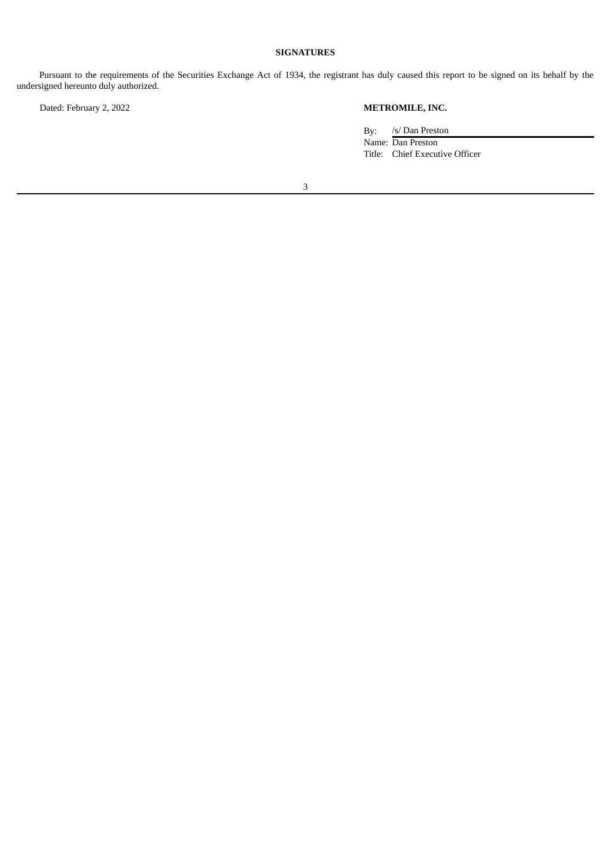# **SIGNATURES**

Pursuant to the requirements of the Securities Exchange Act of 1934, the registrant has duly caused this report to be signed on its behalf by the undersigned hereunto duly authorized.

Dated: February 2, 2022 **METROMILE, INC.**

By: /s/ Dan Preston Name: Dan Preston Title: Chief Executive Officer

3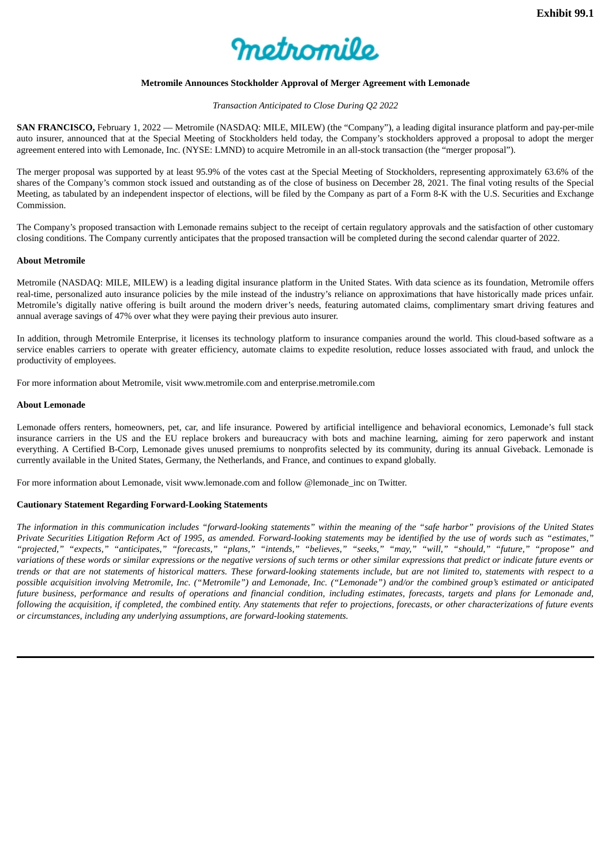

# **Metromile Announces Stockholder Approval of Merger Agreement with Lemonade**

### *Transaction Anticipated to Close During Q2 2022*

<span id="page-4-0"></span>**SAN FRANCISCO,** February 1, 2022 — Metromile (NASDAQ: MILE, MILEW) (the "Company"), a leading digital insurance platform and pay-per-mile auto insurer, announced that at the Special Meeting of Stockholders held today, the Company's stockholders approved a proposal to adopt the merger agreement entered into with Lemonade, Inc. (NYSE: LMND) to acquire Metromile in an all-stock transaction (the "merger proposal").

The merger proposal was supported by at least 95.9% of the votes cast at the Special Meeting of Stockholders, representing approximately 63.6% of the shares of the Company's common stock issued and outstanding as of the close of business on December 28, 2021. The final voting results of the Special Meeting, as tabulated by an independent inspector of elections, will be filed by the Company as part of a Form 8-K with the U.S. Securities and Exchange Commission.

The Company's proposed transaction with Lemonade remains subject to the receipt of certain regulatory approvals and the satisfaction of other customary closing conditions. The Company currently anticipates that the proposed transaction will be completed during the second calendar quarter of 2022.

### **About Metromile**

Metromile (NASDAQ: MILE, MILEW) is a leading digital insurance platform in the United States. With data science as its foundation, Metromile offers real-time, personalized auto insurance policies by the mile instead of the industry's reliance on approximations that have historically made prices unfair. Metromile's digitally native offering is built around the modern driver's needs, featuring automated claims, complimentary smart driving features and annual average savings of 47% over what they were paying their previous auto insurer.

In addition, through Metromile Enterprise, it licenses its technology platform to insurance companies around the world. This cloud-based software as a service enables carriers to operate with greater efficiency, automate claims to expedite resolution, reduce losses associated with fraud, and unlock the productivity of employees.

For more information about Metromile, visit www.metromile.com and enterprise.metromile.com

### **About Lemonade**

Lemonade offers renters, homeowners, pet, car, and life insurance. Powered by artificial intelligence and behavioral economics, Lemonade's full stack insurance carriers in the US and the EU replace brokers and bureaucracy with bots and machine learning, aiming for zero paperwork and instant everything. A Certified B-Corp, Lemonade gives unused premiums to nonprofits selected by its community, during its annual Giveback. Lemonade is currently available in the United States, Germany, the Netherlands, and France, and continues to expand globally.

For more information about Lemonade, visit www.lemonade.com and follow @lemonade\_inc on Twitter.

# **Cautionary Statement Regarding Forward-Looking Statements**

The information in this communication includes "forward-looking statements" within the meaning of the "safe harbor" provisions of the United States Private Securities Litigation Reform Act of 1995, as amended. Forward-looking statements may be identified by the use of words such as "estimates," "projected," "expects," "anticipates," "forecasts," "plans," "intends," "believes," "seeks," "may," "will," "should," "future," "propose" and variations of these words or similar expressions or the negative versions of such terms or other similar expressions that predict or indicate future events or trends or that are not statements of historical matters. These forward-looking statements include, but are not limited to, statements with respect to a possible acquisition involving Metromile, Inc. ("Metromile") and Lemonade, Inc. ("Lemonade") and/or the combined group's estimated or anticipated future business, performance and results of operations and financial condition, including estimates, forecasts, targets and plans for Lemonade and, following the acquisition, if completed, the combined entity. Any statements that refer to projections, forecasts, or other characterizations of future events *or circumstances, including any underlying assumptions, are forward-looking statements.*